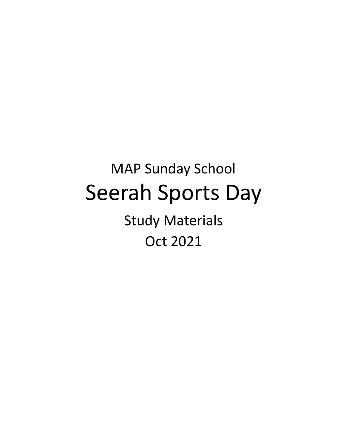# MAP Sunday School Seerah Sports Day Study Materials Oct 2021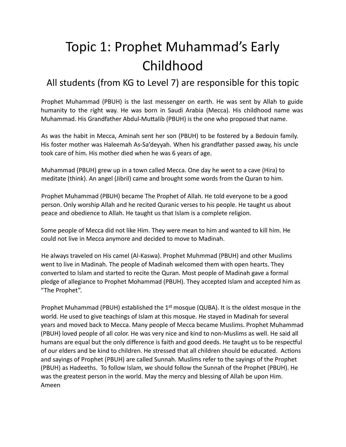## Topic 1: Prophet Muhammad's Early Childhood

### All students (from KG to Level 7) are responsible for this topic

Prophet Muhammad (PBUH) is the last messenger on earth. He was sent by Allah to guide humanity to the right way. He was born in Saudi Arabia (Mecca). His childhood name was Muhammad. His Grandfather Abdul-Muttalib (PBUH) is the one who proposed that name.

As was the habit in Mecca, Aminah sent her son (PBUH) to be fostered by a Bedouin family. His foster mother was Haleemah As-Sa'deyyah. When his grandfather passed away, his uncle took care of him. His mother died when he was 6 years of age.

Muhammad (PBUH) grew up in a town called Mecca. One day he went to a cave (Hira) to meditate (think). An angel (Jibril) came and brought some words from the Quran to him.

Prophet Muhammad (PBUH) became The Prophet of Allah. He told everyone to be a good person. Only worship Allah and he recited Quranic verses to his people. He taught us about peace and obedience to Allah. He taught us that Islam is a complete religion.

Some people of Mecca did not like Him. They were mean to him and wanted to kill him. He could not live in Mecca anymore and decided to move to Madinah.

He always traveled on His camel (Al-Kaswa). Prophet Muhmmad (PBUH) and other Muslims went to live in Madinah. The people of Madinah welcomed them with open hearts. They converted to Islam and started to recite the Quran. Most people of Madinah gave a formal pledge of allegiance to Prophet Mohammad (PBUH). They accepted Islam and accepted him as "The Prophet".

Prophet Muhammad (PBUH) established the 1<sup>st</sup> mosque (QUBA). It is the oldest mosque in the world. He used to give teachings of Islam at this mosque. He stayed in Madinah for several years and moved back to Mecca. Many people of Mecca became Muslims. Prophet Muhammad (PBUH) loved people of all color. He was very nice and kind to non-Muslims as well. He said all humans are equal but the only difference is faith and good deeds. He taught us to be respectful of our elders and be kind to children. He stressed that all children should be educated. Actions and sayings of Prophet (PBUH) are called Sunnah. Muslims refer to the sayings of the Prophet (PBUH) as Hadeeths. To follow Islam, we should follow the Sunnah of the Prophet (PBUH). He was the greatest person in the world. May the mercy and blessing of Allah be upon Him. Ameen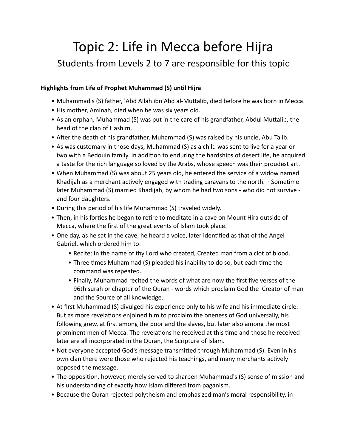## Topic 2: Life in Mecca before Hijra Students from Levels 2 to 7 are responsible for this topic

#### **Highlights from Life of Prophet Muhammad (S) until Hijra**

- Muhammad's (S) father, 'Abd Allah ibn'Abd al-Muttalib, died before he was born in Mecca.
- His mother, Aminah, died when he was six years old.
- As an orphan, Muhammad (S) was put in the care of his grandfather, Abdul Muttalib, the head of the clan of Hashim.
- After the death of his grandfather, Muhammad (S) was raised by his uncle, Abu Talib.
- As was customary in those days, Muhammad (S) as a child was sent to live for a year or two with a Bedouin family. In addition to enduring the hardships of desert life, he acquired a taste for the rich language so loved by the Arabs, whose speech was their proudest art.
- When Muhammad (S) was about 25 years old, he entered the service of a widow named Khadijah as a merchant actively engaged with trading caravans to the north.  $\cdot$  Sometime later Muhammad (S) married Khadijah, by whom he had two sons - who did not survive and four daughters.
- During this period of his life Muhammad (S) traveled widely.
- Then, in his forties he began to retire to meditate in a cave on Mount Hira outside of Mecca, where the first of the great events of Islam took place.
- One day, as he sat in the cave, he heard a voice, later identified as that of the Angel Gabriel, which ordered him to:
	- Recite: In the name of thy Lord who created, Created man from a clot of blood.
	- Three times Muhammad (S) pleaded his inability to do so, but each time the command was repeated.
	- Finally, Muhammad recited the words of what are now the first five verses of the 96th surah or chapter of the Quran - words which proclaim God the Creator of man and the Source of all knowledge.
- At first Muhammad (S) divulged his experience only to his wife and his immediate circle. But as more revelations enjoined him to proclaim the oneness of God universally, his following grew, at first among the poor and the slaves, but later also among the most prominent men of Mecca. The revelations he received at this time and those he received later are all incorporated in the Quran, the Scripture of Islam.
- Not everyone accepted God's message transmitted through Muhammad (S). Even in his own clan there were those who rejected his teachings, and many merchants actively opposed the message.
- The opposition, however, merely served to sharpen Muhammad's (S) sense of mission and his understanding of exactly how Islam differed from paganism.
- Because the Quran rejected polytheism and emphasized man's moral responsibility, in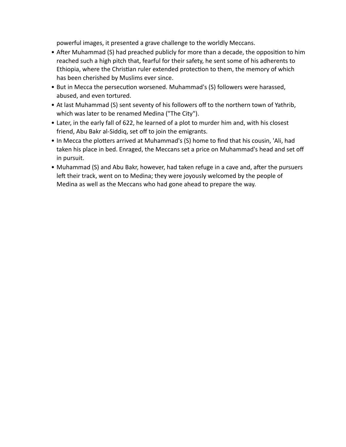powerful images, it presented a grave challenge to the worldly Meccans.

- After Muhammad (S) had preached publicly for more than a decade, the opposition to him reached such a high pitch that, fearful for their safety, he sent some of his adherents to Ethiopia, where the Christian ruler extended protection to them, the memory of which has been cherished by Muslims ever since.
- But in Mecca the persecution worsened. Muhammad's (S) followers were harassed, abused, and even tortured.
- At last Muhammad (S) sent seventy of his followers off to the northern town of Yathrib, which was later to be renamed Medina ("The City").
- Later, in the early fall of 622, he learned of a plot to murder him and, with his closest friend, Abu Bakr al-Siddiq, set off to join the emigrants.
- In Mecca the plotters arrived at Muhammad's (S) home to find that his cousin, 'Ali, had taken his place in bed. Enraged, the Meccans set a price on Muhammad's head and set off in pursuit.
- Muhammad (S) and Abu Bakr, however, had taken refuge in a cave and, after the pursuers left their track, went on to Medina; they were joyously welcomed by the people of Medina as well as the Meccans who had gone ahead to prepare the way.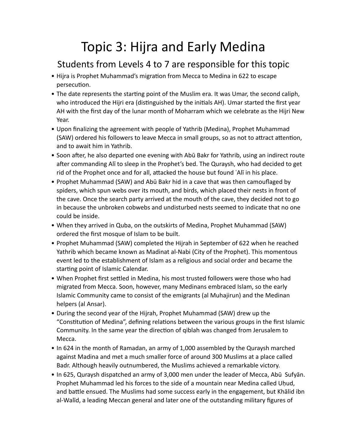## Topic 3: Hijra and Early Medina

### Students from Levels 4 to 7 are responsible for this topic

- Hijra is Prophet Muhammad's migration from Mecca to Medina in 622 to escape persecution.
- The date represents the starting point of the Muslim era. It was Umar, the second caliph, who introduced the Hijri era (distinguished by the initials AH). Umar started the first year AH with the first day of the lunar month of Moharram which we celebrate as the Hijri New Year.
- Upon finalizing the agreement with people of Yathrib (Medina), Prophet Muhammad (SAW) ordered his followers to leave Mecca in small groups, so as not to attract attention, and to await him in Yathrib.
- Soon after, he also departed one evening with Abū Bakr for Yathrib, using an indirect route after commanding Alī to sleep in the Prophet's bed. The Quraysh, who had decided to get rid of the Prophet once and for all, attacked the house but found ʿAlī in his place.
- Prophet Muhammad (SAW) and Abū Bakr hid in a cave that was then camouflaged by spiders, which spun webs over its mouth, and birds, which placed their nests in front of the cave. Once the search party arrived at the mouth of the cave, they decided not to go in because the unbroken cobwebs and undisturbed nests seemed to indicate that no one could be inside.
- When they arrived in Quba, on the outskirts of Medina, Prophet Muhammad (SAW) ordered the first mosque of Islam to be built.
- Prophet Muhammad (SAW) completed the Hijrah in September of 622 when he reached Yathrib which became known as Madinat al-Nabi (City of the Prophet). This momentous event led to the establishment of Islam as a religious and social order and became the starting point of Islamic Calendar.
- When Prophet first settled in Medina, his most trusted followers were those who had migrated from Mecca. Soon, however, many Medinans embraced Islam, so the early Islamic Community came to consist of the emigrants (al Muhajirun) and the Medinan helpers (al Ansar).
- During the second year of the Hijrah, Prophet Muhammad (SAW) drew up the "Constitution of Medina", defining relations between the various groups in the first Islamic Community. In the same year the direction of qiblah was changed from Jerusalem to Mecca.
- In 624 in the month of Ramadan, an army of 1,000 assembled by the Quraysh marched against Madina and met a much smaller force of around 300 Muslims at a place called Badr. Although heavily outnumbered, the Muslims achieved a remarkable victory.
- In 625, Quraysh dispatched an army of 3,000 men under the leader of Mecca, Abū Sufyān. Prophet Muhammad led his forces to the side of a mountain near Medina called Uhud, and battle ensued. The Muslims had some success early in the engagement, but Khālid ibn al-Walīd, a leading Meccan general and later one of the outstanding military figures of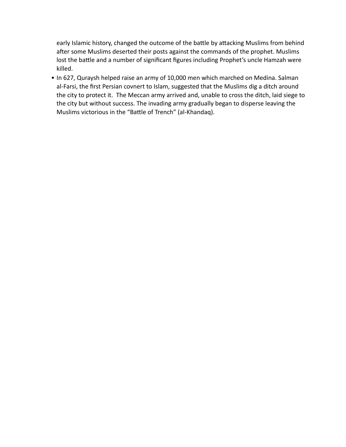early Islamic history, changed the outcome of the battle by attacking Muslims from behind after some Muslims deserted their posts against the commands of the prophet. Muslims lost the battle and a number of significant figures including Prophet's uncle Hamzah were killed.

• In 627, Quraysh helped raise an army of 10,000 men which marched on Medina. Salman al-Farsi, the first Persian covnert to Islam, suggested that the Muslims dig a ditch around the city to protect it. The Meccan army arrived and, unable to cross the ditch, laid siege to the city but without success. The invading army gradually began to disperse leaving the Muslims victorious in the "Battle of Trench" (al-Khandaq).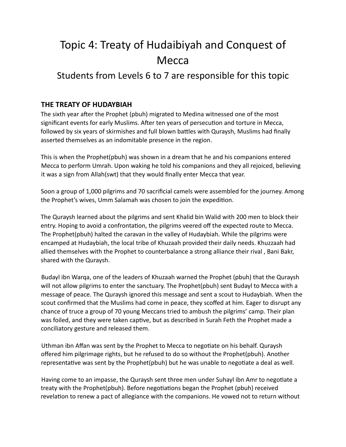### Topic 4: Treaty of Hudaibiyah and Conquest of Mecca

### Students from Levels 6 to 7 are responsible for this topic

#### **THE TREATY OF HUDAYBIAH**

The sixth year after the Prophet (pbuh) migrated to Medina witnessed one of the most significant events for early Muslims. After ten years of persecution and torture in Mecca, followed by six years of skirmishes and full blown battles with Quraysh, Muslims had finally asserted themselves as an indomitable presence in the region.

This is when the Prophet(pbuh) was shown in a dream that he and his companions entered Mecca to perform Umrah. Upon waking he told his companions and they all rejoiced, believing it was a sign from Allah(swt) that they would finally enter Mecca that year.

Soon a group of 1,000 pilgrims and 70 sacrificial camels were assembled for the journey. Among the Prophet's wives, Umm Salamah was chosen to join the expedition.

The Quraysh learned about the pilgrims and sent Khalid bin Walid with 200 men to block their entry. Hoping to avoid a confrontation, the pilgrims veered off the expected route to Mecca. The Prophet(pbuh) halted the caravan in the valley of Hudaybiah. While the pilgrims were encamped at Hudaybiah, the local tribe of Khuzaah provided their daily needs. Khuzzaah had allied themselves with the Prophet to counterbalance a strong alliance their rival , Bani Bakr, shared with the Quraysh.

Budayl ibn Warqa, one of the leaders of Khuzaah warned the Prophet (pbuh) that the Quraysh will not allow pilgrims to enter the sanctuary. The Prophet(pbuh) sent Budayl to Mecca with a message of peace. The Quraysh ignored this message and sent a scout to Hudaybiah. When the scout confirmed that the Muslims had come in peace, they scoffed at him. Eager to disrupt any chance of truce a group of 70 young Meccans tried to ambush the pilgrims' camp. Their plan was foiled, and they were taken captive, but as described in Surah Feth the Prophet made a conciliatory gesture and released them.

Uthman ibn Affan was sent by the Prophet to Mecca to negotiate on his behalf. Quraysh offered him pilgrimage rights, but he refused to do so without the Prophet(pbuh). Another representative was sent by the Prophet(pbuh) but he was unable to negotiate a deal as well.

Having come to an impasse, the Quraysh sent three men under Suhayl ibn Amr to negotiate a treaty with the Prophet(pbuh). Before negotiations began the Prophet (pbuh) received revelation to renew a pact of allegiance with the companions. He vowed not to return without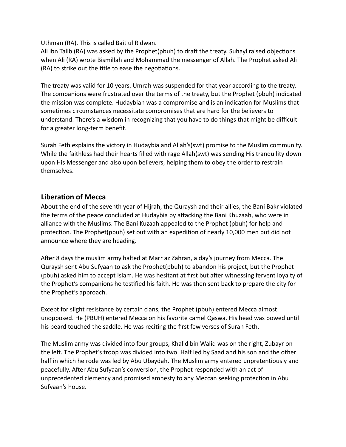Uthman (RA). This is called Bait ul Ridwan.

Ali ibn Talib (RA) was asked by the Prophet(pbuh) to draft the treaty. Suhayl raised objections when Ali (RA) wrote Bismillah and Mohammad the messenger of Allah. The Prophet asked Ali (RA) to strike out the title to ease the negotiations.

The treaty was valid for 10 years. Umrah was suspended for that year according to the treaty. The companions were frustrated over the terms of the treaty, but the Prophet (pbuh) indicated the mission was complete. Hudaybiah was a compromise and is an indication for Muslims that sometimes circumstances necessitate compromises that are hard for the believers to understand. There's a wisdom in recognizing that you have to do things that might be difficult for a greater long-term benefit.

Surah Feth explains the victory in Hudaybia and Allah's(swt) promise to the Muslim community. While the faithless had their hearts filled with rage Allah(swt) was sending His tranquility down upon His Messenger and also upon believers, helping them to obey the order to restrain themselves.

#### **Liberation of Mecca**

About the end of the seventh year of Hijrah, the Quraysh and their allies, the Bani Bakr violated the terms of the peace concluded at Hudaybia by attacking the Bani Khuzaah, who were in alliance with the Muslims. The Bani Kuzaah appealed to the Prophet (pbuh) for help and protection. The Prophet(pbuh) set out with an expedition of nearly 10,000 men but did not announce where they are heading.

After 8 days the muslim army halted at Marr az Zahran, a day's journey from Mecca. The Quraysh sent Abu Sufyaan to ask the Prophet(pbuh) to abandon his project, but the Prophet (pbuh) asked him to accept Islam. He was hesitant at first but after witnessing fervent loyalty of the Prophet's companions he testified his faith. He was then sent back to prepare the city for the Prophet's approach.

Except for slight resistance by certain clans, the Prophet (pbuh) entered Mecca almost unopposed. He (PBUH) entered Mecca on his favorite camel Qaswa. His head was bowed until his beard touched the saddle. He was reciting the first few verses of Surah Feth.

The Muslim army was divided into four groups, Khalid bin Walid was on the right, Zubayr on the left. The Prophet's troop was divided into two. Half led by Saad and his son and the other half in which he rode was led by Abu Ubaydah. The Muslim army entered unpretentiously and peacefully. After Abu Sufyaan's conversion, the Prophet responded with an act of unprecedented clemency and promised amnesty to any Meccan seeking protection in Abu Sufyaan's house.